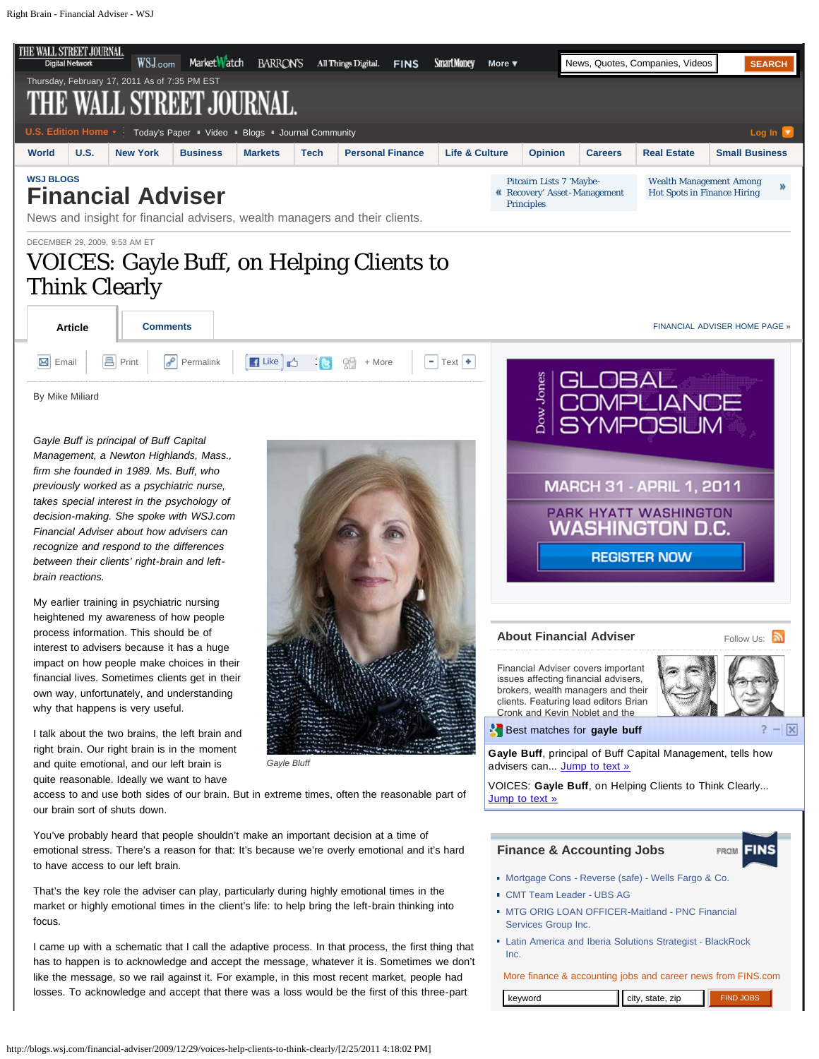<span id="page-0-1"></span><span id="page-0-0"></span>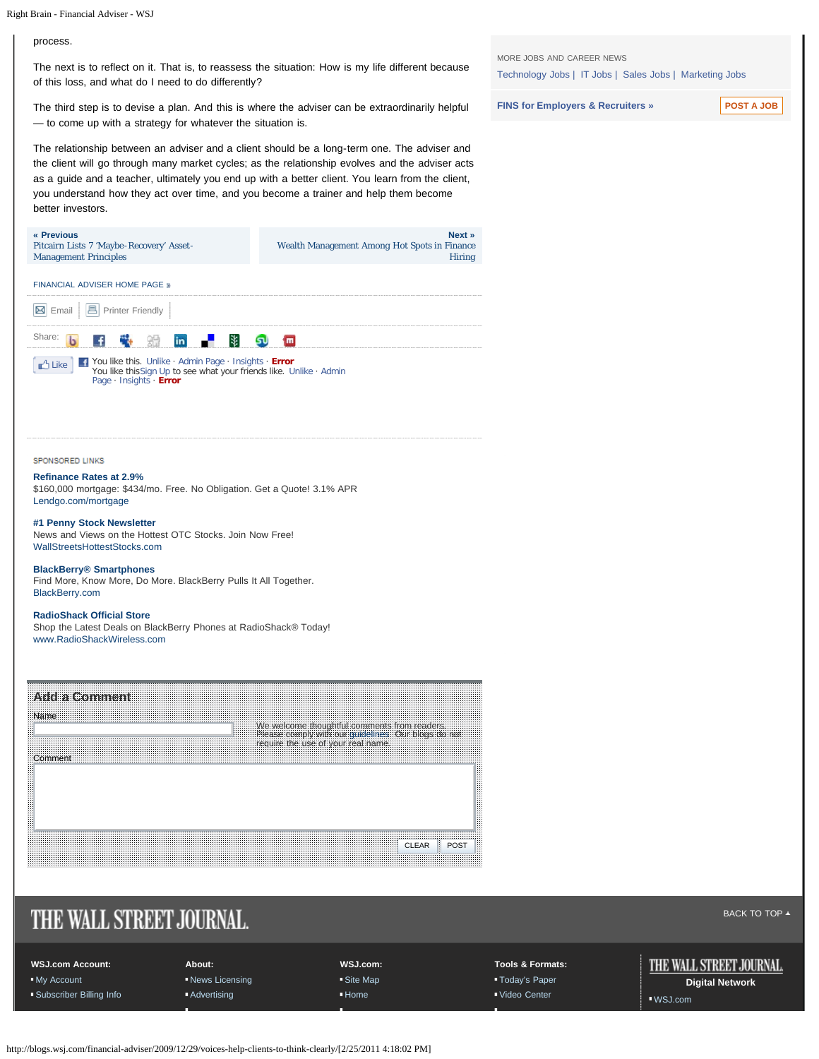### process.

The next is to reflect on it. That is, to reassess the situation: How is my life different because of this loss, and what do I need to do differently?

The third step is to devise a plan. And this is where the adviser can be extraordinarily helpful — to come up with a strategy for whatever the situation is.

The relationship between an adviser and a client should be a long-term one. The adviser and the client will go through many market cycles; as the relationship evolves and the adviser acts as a guide and a teacher, ultimately you end up with a better client. You learn from the client, you understand how they act over time, and you become a trainer and help them become better investors.



SPONSORED LINKS

#### **[Refinance Rates at 2.9%](http://0.r.msn.com/?ld=4v0jZdvdq4vUmDVYB2766iiCwW8aAv3O5p6uhsBDXzY-JzNPDSR-p410AfXyhOduB70_TLiKWRwhdZZUcVgvO0GBT-7kRmW8R_EOo5sVRcfDDWzosqYKCxA3arKNYevi3PfJ-SNKBhj_8o1OFALbkVeYsoR4rxVbH0RU57kmji-L6C_4Tm8o_jcJZiISUZKYn1SzUiS_BSsH1Fu68_UleeG9bwtkumnzLJdCXgXReD6tPzQFEDp9KAnFLpr2bscbS1vVxxj8H9YYyQ6I8Bn61GZk8j4afq10BuNhr4sf4dc-DvSHdfO39bxgxpQ7TYrDkDSTGXJTRKfOr3tLTY5mQ6WzVUCUzqFpfB1xIq9XXgF3YkdN-3ECZjcz3dT03PZFoi3m094ODRtVR4V_HM5S-QfraPjWkk8JnSfw)**

[\\$160,000 mortgage: \\$434/mo. Free. No Obligation. Get a Quote! 3.1% APR](http://0.r.msn.com/?ld=4v0jZdvdq4vUmDVYB2766iiCwW8aAv3O5p6uhsBDXzY-JzNPDSR-p410AfXyhOduB70_TLiKWRwhdZZUcVgvO0GBT-7kRmW8R_EOo5sVRcfDDWzosqYKCxA3arKNYevi3PfJ-SNKBhj_8o1OFALbkVeYsoR4rxVbH0RU57kmji-L6C_4Tm8o_jcJZiISUZKYn1SzUiS_BSsH1Fu68_UleeG9bwtkumnzLJdCXgXReD6tPzQFEDp9KAnFLpr2bscbS1vVxxj8H9YYyQ6I8Bn61GZk8j4afq10BuNhr4sf4dc-DvSHdfO39bxgxpQ7TYrDkDSTGXJTRKfOr3tLTY5mQ6WzVUCUzqFpfB1xIq9XXgF3YkdN-3ECZjcz3dT03PZFoi3m094ODRtVR4V_HM5S-QfraPjWkk8JnSfw) [Lendgo.com/mortgage](http://0.r.msn.com/?ld=4v0jZdvdq4vUmDVYB2766iiCwW8aAv3O5p6uhsBDXzY-JzNPDSR-p410AfXyhOduB70_TLiKWRwhdZZUcVgvO0GBT-7kRmW8R_EOo5sVRcfDDWzosqYKCxA3arKNYevi3PfJ-SNKBhj_8o1OFALbkVeYsoR4rxVbH0RU57kmji-L6C_4Tm8o_jcJZiISUZKYn1SzUiS_BSsH1Fu68_UleeG9bwtkumnzLJdCXgXReD6tPzQFEDp9KAnFLpr2bscbS1vVxxj8H9YYyQ6I8Bn61GZk8j4afq10BuNhr4sf4dc-DvSHdfO39bxgxpQ7TYrDkDSTGXJTRKfOr3tLTY5mQ6WzVUCUzqFpfB1xIq9XXgF3YkdN-3ECZjcz3dT03PZFoi3m094ODRtVR4V_HM5S-QfraPjWkk8JnSfw)

#### **[#1 Penny Stock Newsletter](http://702038.r.msn.com/?ld=4vwvjkngLDrnf7L2fYbWUqoM7yeg4v2Iu-yB9sSC6jY1R7D8bvYrak5k8oEIRYQ0yPov9ld2P2q47ZOdpdUSXj2QcmOS9Yg1BEhasvrppCf-HxIDnwxGZtUfe8qzfK-k28TQe6Z7vBNzi4xxTT4mSrZtkLlpTzpQzz7BKrqpD7or0RqMA68Lzt-Io7doJ98WYOuHW2mgOVNpYY9KWdT-AgDH0y9vF-e65HxIvFQhQDwfQ1VAlMCmJWxZ8vLAyZtdKnfUV_mhAmY3M958yXSYihnQvQ-2a5vNDqFr2Fou-uYCpMGNkn_gTCUHI)**

[News and Views on the Hottest OTC Stocks. Join Now Free!](http://702038.r.msn.com/?ld=4vwvjkngLDrnf7L2fYbWUqoM7yeg4v2Iu-yB9sSC6jY1R7D8bvYrak5k8oEIRYQ0yPov9ld2P2q47ZOdpdUSXj2QcmOS9Yg1BEhasvrppCf-HxIDnwxGZtUfe8qzfK-k28TQe6Z7vBNzi4xxTT4mSrZtkLlpTzpQzz7BKrqpD7or0RqMA68Lzt-Io7doJ98WYOuHW2mgOVNpYY9KWdT-AgDH0y9vF-e65HxIvFQhQDwfQ1VAlMCmJWxZ8vLAyZtdKnfUV_mhAmY3M958yXSYihnQvQ-2a5vNDqFr2Fou-uYCpMGNkn_gTCUHI) [WallStreetsHottestStocks.com](http://702038.r.msn.com/?ld=4vwvjkngLDrnf7L2fYbWUqoM7yeg4v2Iu-yB9sSC6jY1R7D8bvYrak5k8oEIRYQ0yPov9ld2P2q47ZOdpdUSXj2QcmOS9Yg1BEhasvrppCf-HxIDnwxGZtUfe8qzfK-k28TQe6Z7vBNzi4xxTT4mSrZtkLlpTzpQzz7BKrqpD7or0RqMA68Lzt-Io7doJ98WYOuHW2mgOVNpYY9KWdT-AgDH0y9vF-e65HxIvFQhQDwfQ1VAlMCmJWxZ8vLAyZtdKnfUV_mhAmY3M958yXSYihnQvQ-2a5vNDqFr2Fou-uYCpMGNkn_gTCUHI)

#### **[BlackBerry® Smartphones](http://0.r.msn.com/?ld=4viKvTIDFrQuEWVW0udKA8CaZ6KtvJtZzbSRl1FRSRTef8JSOsnOebRZA0Zy919BqTnXZkZoBiDaKFmYwL6PjQpFd7HhYiKNLYfiHNRxxOALE5euhyJpTKZMr473zUKD6WdbmxPGZeJCcHQBUulPMSEysxZjwhE6Li-p0taVDbuV86QuBERczv4lZA-bH9u7-dK1h2R6FbPAKUsbbEN6UTcrv_7ymHIjIkVPMuvVhSSjkjuKNgrg6CKccM7jQBjqLkfK8yZ6vujtO4aTOx8qn0i4dydqTnE4_E74YbK61wdAMvVisD4pDk-_LuX30qJfj11mGZPC5wwL7-7NNAvSZx4oI05A_8NLiO7xpBNwXLzGnKjbiVNoynYD7pbz8gbTBGTB7pqzjQZsUhmNt2U4BA3gN-gmFcM36GpQxDJdMoiXKeEf72tvFAYzSdBDb96C-TNVQJTMfb1gceU9QRHFcBvaP-dOIQJmNzPVuKmK_P585mvkTAR21OPTPermbJnHSpFjt2pDFN7dWR)**

[Find More, Know More, Do More. BlackBerry Pulls It All Together.](http://0.r.msn.com/?ld=4viKvTIDFrQuEWVW0udKA8CaZ6KtvJtZzbSRl1FRSRTef8JSOsnOebRZA0Zy919BqTnXZkZoBiDaKFmYwL6PjQpFd7HhYiKNLYfiHNRxxOALE5euhyJpTKZMr473zUKD6WdbmxPGZeJCcHQBUulPMSEysxZjwhE6Li-p0taVDbuV86QuBERczv4lZA-bH9u7-dK1h2R6FbPAKUsbbEN6UTcrv_7ymHIjIkVPMuvVhSSjkjuKNgrg6CKccM7jQBjqLkfK8yZ6vujtO4aTOx8qn0i4dydqTnE4_E74YbK61wdAMvVisD4pDk-_LuX30qJfj11mGZPC5wwL7-7NNAvSZx4oI05A_8NLiO7xpBNwXLzGnKjbiVNoynYD7pbz8gbTBGTB7pqzjQZsUhmNt2U4BA3gN-gmFcM36GpQxDJdMoiXKeEf72tvFAYzSdBDb96C-TNVQJTMfb1gceU9QRHFcBvaP-dOIQJmNzPVuKmK_P585mvkTAR21OPTPermbJnHSpFjt2pDFN7dWR) [BlackBerry.com](http://0.r.msn.com/?ld=4viKvTIDFrQuEWVW0udKA8CaZ6KtvJtZzbSRl1FRSRTef8JSOsnOebRZA0Zy919BqTnXZkZoBiDaKFmYwL6PjQpFd7HhYiKNLYfiHNRxxOALE5euhyJpTKZMr473zUKD6WdbmxPGZeJCcHQBUulPMSEysxZjwhE6Li-p0taVDbuV86QuBERczv4lZA-bH9u7-dK1h2R6FbPAKUsbbEN6UTcrv_7ymHIjIkVPMuvVhSSjkjuKNgrg6CKccM7jQBjqLkfK8yZ6vujtO4aTOx8qn0i4dydqTnE4_E74YbK61wdAMvVisD4pDk-_LuX30qJfj11mGZPC5wwL7-7NNAvSZx4oI05A_8NLiO7xpBNwXLzGnKjbiVNoynYD7pbz8gbTBGTB7pqzjQZsUhmNt2U4BA3gN-gmFcM36GpQxDJdMoiXKeEf72tvFAYzSdBDb96C-TNVQJTMfb1gceU9QRHFcBvaP-dOIQJmNzPVuKmK_P585mvkTAR21OPTPermbJnHSpFjt2pDFN7dWR)

#### **[RadioShack Official Store](http://0.r.msn.com/?ld=4vNL74thl-17_n-4Vt3xAtmqtT-ABwbjVmaej7bcJ4sGLLQqwf14hZP3mR7SMrEYFV34NwRa1TW9R3PbCdhmowHc2ZXmGla29eWyTzIwQ2_6-RAzM4tiXZ6rnV5ss0xBLXxPTTCRWckw1Od9nTYKsxoRolHO5fVlWoM5OURGoXzSz6B9Lw_DCQ-PqD1nPGx05o8crTMYR3Fwn6YaM2kkh_hEUvzlq6WvQIHbD7preyl5t6D3USZ6SdeM-FPzde8qoLUrG3B3fIgJZtgeCHrfqxHiANAmfs3j612bfNfsU3nvATTku5RrdNIvQ_Isw9yjydNBYEEnWI-hHJWnqa-BZSQcrD9vgMYlq9DczglJDG-aX3Rv63GNVcD2wIQDgGiRVtrRqraQ82UZNn4BtJuyx0YeEgWIoR1WWKNJhipFcKvjCg6z938skBBNljZqg7S5gh8PqWjtLL4WlvvEb18E1FQq9BBi1-kL-RvRrBIPuPruF-ZqLykHFcN_8TXAjSbJ6JmLMJjI5Pd6IHetLijoYcJi9B3CoUJHw4MEkFWqhawjElaLpK79-Dw7As3iYeoio9ZZc5YQU2-hjutC4nnXf9rBsmPWwEGIS-70Sh-P0w7Z8iRFOcqHBFjS6SeVmYXyc3y4y8hfpO-M6Od80mk7e6SzVUCUyMMZ2M74wblu9FScfnB7S2ECZjcz2TwCzqmv3euylUFIglRsZdeb__gcXQmJrBSZamQ1_BZg)**

[Shop the Latest Deals on BlackBerry Phones at RadioShack® Today!](http://0.r.msn.com/?ld=4vNL74thl-17_n-4Vt3xAtmqtT-ABwbjVmaej7bcJ4sGLLQqwf14hZP3mR7SMrEYFV34NwRa1TW9R3PbCdhmowHc2ZXmGla29eWyTzIwQ2_6-RAzM4tiXZ6rnV5ss0xBLXxPTTCRWckw1Od9nTYKsxoRolHO5fVlWoM5OURGoXzSz6B9Lw_DCQ-PqD1nPGx05o8crTMYR3Fwn6YaM2kkh_hEUvzlq6WvQIHbD7preyl5t6D3USZ6SdeM-FPzde8qoLUrG3B3fIgJZtgeCHrfqxHiANAmfs3j612bfNfsU3nvATTku5RrdNIvQ_Isw9yjydNBYEEnWI-hHJWnqa-BZSQcrD9vgMYlq9DczglJDG-aX3Rv63GNVcD2wIQDgGiRVtrRqraQ82UZNn4BtJuyx0YeEgWIoR1WWKNJhipFcKvjCg6z938skBBNljZqg7S5gh8PqWjtLL4WlvvEb18E1FQq9BBi1-kL-RvRrBIPuPruF-ZqLykHFcN_8TXAjSbJ6JmLMJjI5Pd6IHetLijoYcJi9B3CoUJHw4MEkFWqhawjElaLpK79-Dw7As3iYeoio9ZZc5YQU2-hjutC4nnXf9rBsmPWwEGIS-70Sh-P0w7Z8iRFOcqHBFjS6SeVmYXyc3y4y8hfpO-M6Od80mk7e6SzVUCUyMMZ2M74wblu9FScfnB7S2ECZjcz2TwCzqmv3euylUFIglRsZdeb__gcXQmJrBSZamQ1_BZg) [www.RadioShackWireless.com](http://0.r.msn.com/?ld=4vNL74thl-17_n-4Vt3xAtmqtT-ABwbjVmaej7bcJ4sGLLQqwf14hZP3mR7SMrEYFV34NwRa1TW9R3PbCdhmowHc2ZXmGla29eWyTzIwQ2_6-RAzM4tiXZ6rnV5ss0xBLXxPTTCRWckw1Od9nTYKsxoRolHO5fVlWoM5OURGoXzSz6B9Lw_DCQ-PqD1nPGx05o8crTMYR3Fwn6YaM2kkh_hEUvzlq6WvQIHbD7preyl5t6D3USZ6SdeM-FPzde8qoLUrG3B3fIgJZtgeCHrfqxHiANAmfs3j612bfNfsU3nvATTku5RrdNIvQ_Isw9yjydNBYEEnWI-hHJWnqa-BZSQcrD9vgMYlq9DczglJDG-aX3Rv63GNVcD2wIQDgGiRVtrRqraQ82UZNn4BtJuyx0YeEgWIoR1WWKNJhipFcKvjCg6z938skBBNljZqg7S5gh8PqWjtLL4WlvvEb18E1FQq9BBi1-kL-RvRrBIPuPruF-ZqLykHFcN_8TXAjSbJ6JmLMJjI5Pd6IHetLijoYcJi9B3CoUJHw4MEkFWqhawjElaLpK79-Dw7As3iYeoio9ZZc5YQU2-hjutC4nnXf9rBsmPWwEGIS-70Sh-P0w7Z8iRFOcqHBFjS6SeVmYXyc3y4y8hfpO-M6Od80mk7e6SzVUCUyMMZ2M74wblu9FScfnB7S2ECZjcz2TwCzqmv3euylUFIglRsZdeb__gcXQmJrBSZamQ1_BZg)

| We welcome thoughtful comments from readers.<br>Please comply with our guidelines. Our blogs do not require the use of your real name. |  |  |
|----------------------------------------------------------------------------------------------------------------------------------------|--|--|
|                                                                                                                                        |  |  |
|                                                                                                                                        |  |  |
|                                                                                                                                        |  |  |
|                                                                                                                                        |  |  |
|                                                                                                                                        |  |  |

# THE WALL STREET JOURNAL.

**[BACK TO TOP](#page-0-1) ▲** 

| <b>WSJ.com Account:</b> | About:             | WSJ.com: | <b>Tools &amp; Formats:</b> | THE WALL STREET JOURNAL. |
|-------------------------|--------------------|----------|-----------------------------|--------------------------|
| My Account              | News Licensing     | Site Map | "Today's Paper              | <b>Digital Network</b>   |
| Subscriber Billing Info | <b>Advertising</b> | • Home   | Video Center                | WSJ.com                  |

[MORE JOBS AND CAREER NEWS](#page-0-0)

[Technology Jobs](http://it-jobs.fins.com/?reflink=djm_modulewsj_widgetjobs_financial-adviser) | [IT Jobs](http://it-jobs.fins.com/?reflink=djm_modulewsj_widgetjobs_financial-adviser) | [Sales Jobs](http://sales-jobs.fins.com/?reflink=djm_modulewsj_widgetjobs_financial-adviser) | [Marketing Jobs](http://sales-jobs.fins.com/?reflink=djm_modulewsj_widgetjobs_financial-adviser)

**[FINS for Employers & Recruiters »](http://recruiter.fins.com/?reflink=djm_modulewsj_widgetjobs_financial-adviser)** [POST A JOB](http://recruiter.fins.com/?reflink=djm_modulewsj_widgetjobs_postfinancial-adviser)